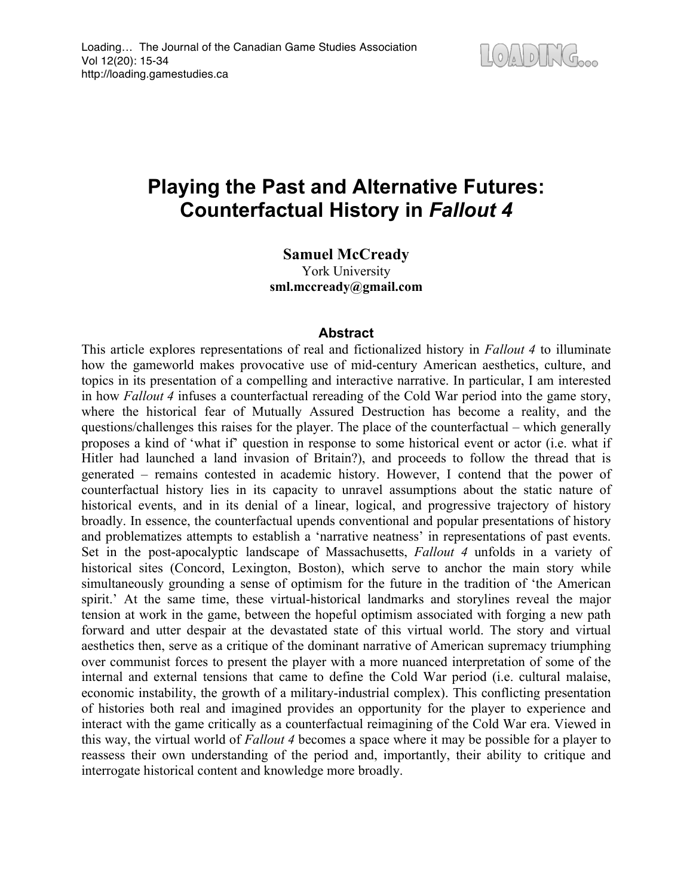# **Playing the Past and Alternative Futures: Counterfactual History in** *Fallout 4*

**Samuel McCready** York University **sml.mccready@gmail.com**

# **Abstract**

This article explores representations of real and fictionalized history in *Fallout 4* to illuminate how the gameworld makes provocative use of mid-century American aesthetics, culture, and topics in its presentation of a compelling and interactive narrative. In particular, I am interested in how *Fallout 4* infuses a counterfactual rereading of the Cold War period into the game story, where the historical fear of Mutually Assured Destruction has become a reality, and the questions/challenges this raises for the player. The place of the counterfactual – which generally proposes a kind of 'what if' question in response to some historical event or actor (i.e. what if Hitler had launched a land invasion of Britain?), and proceeds to follow the thread that is generated – remains contested in academic history. However, I contend that the power of counterfactual history lies in its capacity to unravel assumptions about the static nature of historical events, and in its denial of a linear, logical, and progressive trajectory of history broadly. In essence, the counterfactual upends conventional and popular presentations of history and problematizes attempts to establish a 'narrative neatness' in representations of past events. Set in the post-apocalyptic landscape of Massachusetts, *Fallout 4* unfolds in a variety of historical sites (Concord, Lexington, Boston), which serve to anchor the main story while simultaneously grounding a sense of optimism for the future in the tradition of 'the American spirit.' At the same time, these virtual-historical landmarks and storylines reveal the major tension at work in the game, between the hopeful optimism associated with forging a new path forward and utter despair at the devastated state of this virtual world. The story and virtual aesthetics then, serve as a critique of the dominant narrative of American supremacy triumphing over communist forces to present the player with a more nuanced interpretation of some of the internal and external tensions that came to define the Cold War period (i.e. cultural malaise, economic instability, the growth of a military-industrial complex). This conflicting presentation of histories both real and imagined provides an opportunity for the player to experience and interact with the game critically as a counterfactual reimagining of the Cold War era. Viewed in this way, the virtual world of *Fallout 4* becomes a space where it may be possible for a player to reassess their own understanding of the period and, importantly, their ability to critique and interrogate historical content and knowledge more broadly.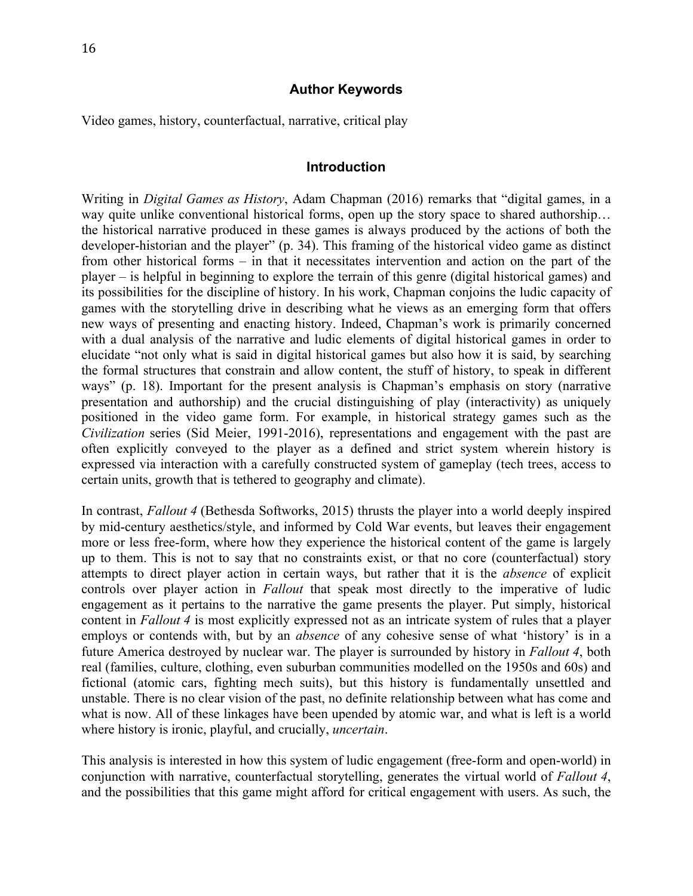#### **Author Keywords**

Video games, history, counterfactual, narrative, critical play

### **Introduction**

Writing in *Digital Games as History*, Adam Chapman (2016) remarks that "digital games, in a way quite unlike conventional historical forms, open up the story space to shared authorship… the historical narrative produced in these games is always produced by the actions of both the developer-historian and the player" (p. 34). This framing of the historical video game as distinct from other historical forms – in that it necessitates intervention and action on the part of the player – is helpful in beginning to explore the terrain of this genre (digital historical games) and its possibilities for the discipline of history. In his work, Chapman conjoins the ludic capacity of games with the storytelling drive in describing what he views as an emerging form that offers new ways of presenting and enacting history. Indeed, Chapman's work is primarily concerned with a dual analysis of the narrative and ludic elements of digital historical games in order to elucidate "not only what is said in digital historical games but also how it is said, by searching the formal structures that constrain and allow content, the stuff of history, to speak in different ways" (p. 18). Important for the present analysis is Chapman's emphasis on story (narrative presentation and authorship) and the crucial distinguishing of play (interactivity) as uniquely positioned in the video game form. For example, in historical strategy games such as the *Civilization* series (Sid Meier, 1991-2016), representations and engagement with the past are often explicitly conveyed to the player as a defined and strict system wherein history is expressed via interaction with a carefully constructed system of gameplay (tech trees, access to certain units, growth that is tethered to geography and climate).

In contrast, *Fallout 4* (Bethesda Softworks, 2015) thrusts the player into a world deeply inspired by mid-century aesthetics/style, and informed by Cold War events, but leaves their engagement more or less free-form, where how they experience the historical content of the game is largely up to them. This is not to say that no constraints exist, or that no core (counterfactual) story attempts to direct player action in certain ways, but rather that it is the *absence* of explicit controls over player action in *Fallout* that speak most directly to the imperative of ludic engagement as it pertains to the narrative the game presents the player. Put simply, historical content in *Fallout 4* is most explicitly expressed not as an intricate system of rules that a player employs or contends with, but by an *absence* of any cohesive sense of what 'history' is in a future America destroyed by nuclear war. The player is surrounded by history in *Fallout 4*, both real (families, culture, clothing, even suburban communities modelled on the 1950s and 60s) and fictional (atomic cars, fighting mech suits), but this history is fundamentally unsettled and unstable. There is no clear vision of the past, no definite relationship between what has come and what is now. All of these linkages have been upended by atomic war, and what is left is a world where history is ironic, playful, and crucially, *uncertain*.

This analysis is interested in how this system of ludic engagement (free-form and open-world) in conjunction with narrative, counterfactual storytelling, generates the virtual world of *Fallout 4*, and the possibilities that this game might afford for critical engagement with users. As such, the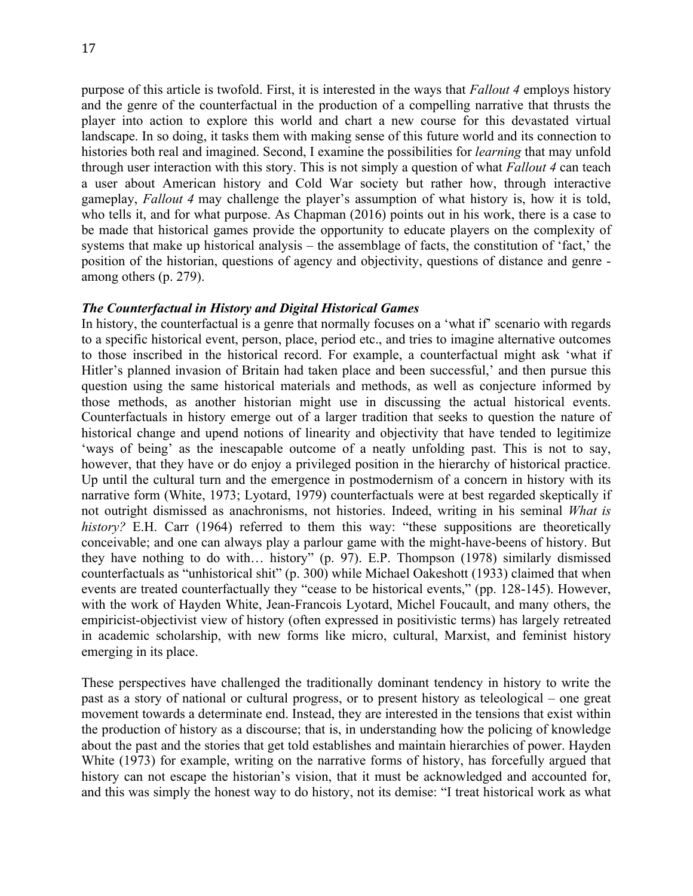purpose of this article is twofold. First, it is interested in the ways that *Fallout 4* employs history and the genre of the counterfactual in the production of a compelling narrative that thrusts the player into action to explore this world and chart a new course for this devastated virtual landscape. In so doing, it tasks them with making sense of this future world and its connection to histories both real and imagined. Second, I examine the possibilities for *learning* that may unfold through user interaction with this story. This is not simply a question of what *Fallout 4* can teach a user about American history and Cold War society but rather how, through interactive gameplay, *Fallout 4* may challenge the player's assumption of what history is, how it is told, who tells it, and for what purpose. As Chapman (2016) points out in his work, there is a case to be made that historical games provide the opportunity to educate players on the complexity of systems that make up historical analysis – the assemblage of facts, the constitution of 'fact,' the position of the historian, questions of agency and objectivity, questions of distance and genre among others (p. 279).

# *The Counterfactual in History and Digital Historical Games*

In history, the counterfactual is a genre that normally focuses on a 'what if' scenario with regards to a specific historical event, person, place, period etc., and tries to imagine alternative outcomes to those inscribed in the historical record. For example, a counterfactual might ask 'what if Hitler's planned invasion of Britain had taken place and been successful,' and then pursue this question using the same historical materials and methods, as well as conjecture informed by those methods, as another historian might use in discussing the actual historical events. Counterfactuals in history emerge out of a larger tradition that seeks to question the nature of historical change and upend notions of linearity and objectivity that have tended to legitimize 'ways of being' as the inescapable outcome of a neatly unfolding past. This is not to say, however, that they have or do enjoy a privileged position in the hierarchy of historical practice. Up until the cultural turn and the emergence in postmodernism of a concern in history with its narrative form (White, 1973; Lyotard, 1979) counterfactuals were at best regarded skeptically if not outright dismissed as anachronisms, not histories. Indeed, writing in his seminal *What is*  history? E.H. Carr (1964) referred to them this way: "these suppositions are theoretically conceivable; and one can always play a parlour game with the might-have-beens of history. But they have nothing to do with… history" (p. 97). E.P. Thompson (1978) similarly dismissed counterfactuals as "unhistorical shit" (p. 300) while Michael Oakeshott (1933) claimed that when events are treated counterfactually they "cease to be historical events," (pp. 128-145). However, with the work of Hayden White, Jean-Francois Lyotard, Michel Foucault, and many others, the empiricist-objectivist view of history (often expressed in positivistic terms) has largely retreated in academic scholarship, with new forms like micro, cultural, Marxist, and feminist history emerging in its place.

These perspectives have challenged the traditionally dominant tendency in history to write the past as a story of national or cultural progress, or to present history as teleological – one great movement towards a determinate end. Instead, they are interested in the tensions that exist within the production of history as a discourse; that is, in understanding how the policing of knowledge about the past and the stories that get told establishes and maintain hierarchies of power. Hayden White (1973) for example, writing on the narrative forms of history, has forcefully argued that history can not escape the historian's vision, that it must be acknowledged and accounted for, and this was simply the honest way to do history, not its demise: "I treat historical work as what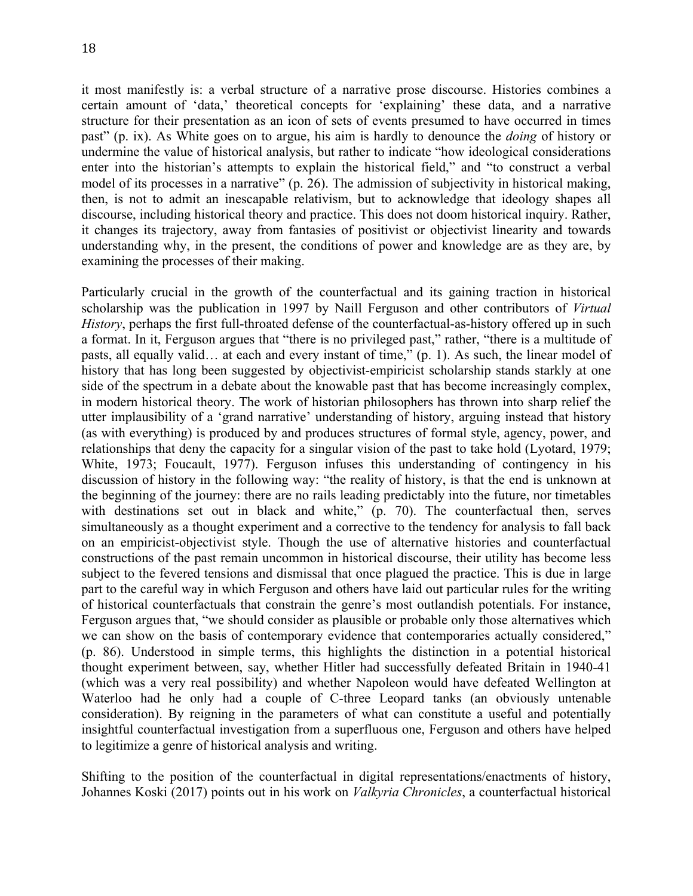it most manifestly is: a verbal structure of a narrative prose discourse. Histories combines a certain amount of 'data,' theoretical concepts for 'explaining' these data, and a narrative structure for their presentation as an icon of sets of events presumed to have occurred in times past" (p. ix). As White goes on to argue, his aim is hardly to denounce the *doing* of history or undermine the value of historical analysis, but rather to indicate "how ideological considerations enter into the historian's attempts to explain the historical field," and "to construct a verbal model of its processes in a narrative" (p. 26). The admission of subjectivity in historical making, then, is not to admit an inescapable relativism, but to acknowledge that ideology shapes all discourse, including historical theory and practice. This does not doom historical inquiry. Rather, it changes its trajectory, away from fantasies of positivist or objectivist linearity and towards understanding why, in the present, the conditions of power and knowledge are as they are, by examining the processes of their making.

Particularly crucial in the growth of the counterfactual and its gaining traction in historical scholarship was the publication in 1997 by Naill Ferguson and other contributors of *Virtual History*, perhaps the first full-throated defense of the counterfactual-as-history offered up in such a format. In it, Ferguson argues that "there is no privileged past," rather, "there is a multitude of pasts, all equally valid… at each and every instant of time," (p. 1). As such, the linear model of history that has long been suggested by objectivist-empiricist scholarship stands starkly at one side of the spectrum in a debate about the knowable past that has become increasingly complex, in modern historical theory. The work of historian philosophers has thrown into sharp relief the utter implausibility of a 'grand narrative' understanding of history, arguing instead that history (as with everything) is produced by and produces structures of formal style, agency, power, and relationships that deny the capacity for a singular vision of the past to take hold (Lyotard, 1979; White, 1973; Foucault, 1977). Ferguson infuses this understanding of contingency in his discussion of history in the following way: "the reality of history, is that the end is unknown at the beginning of the journey: there are no rails leading predictably into the future, nor timetables with destinations set out in black and white," (p. 70). The counterfactual then, serves simultaneously as a thought experiment and a corrective to the tendency for analysis to fall back on an empiricist-objectivist style. Though the use of alternative histories and counterfactual constructions of the past remain uncommon in historical discourse, their utility has become less subject to the fevered tensions and dismissal that once plagued the practice. This is due in large part to the careful way in which Ferguson and others have laid out particular rules for the writing of historical counterfactuals that constrain the genre's most outlandish potentials. For instance, Ferguson argues that, "we should consider as plausible or probable only those alternatives which we can show on the basis of contemporary evidence that contemporaries actually considered," (p. 86). Understood in simple terms, this highlights the distinction in a potential historical thought experiment between, say, whether Hitler had successfully defeated Britain in 1940-41 (which was a very real possibility) and whether Napoleon would have defeated Wellington at Waterloo had he only had a couple of C-three Leopard tanks (an obviously untenable consideration). By reigning in the parameters of what can constitute a useful and potentially insightful counterfactual investigation from a superfluous one, Ferguson and others have helped to legitimize a genre of historical analysis and writing.

Shifting to the position of the counterfactual in digital representations/enactments of history, Johannes Koski (2017) points out in his work on *Valkyria Chronicles*, a counterfactual historical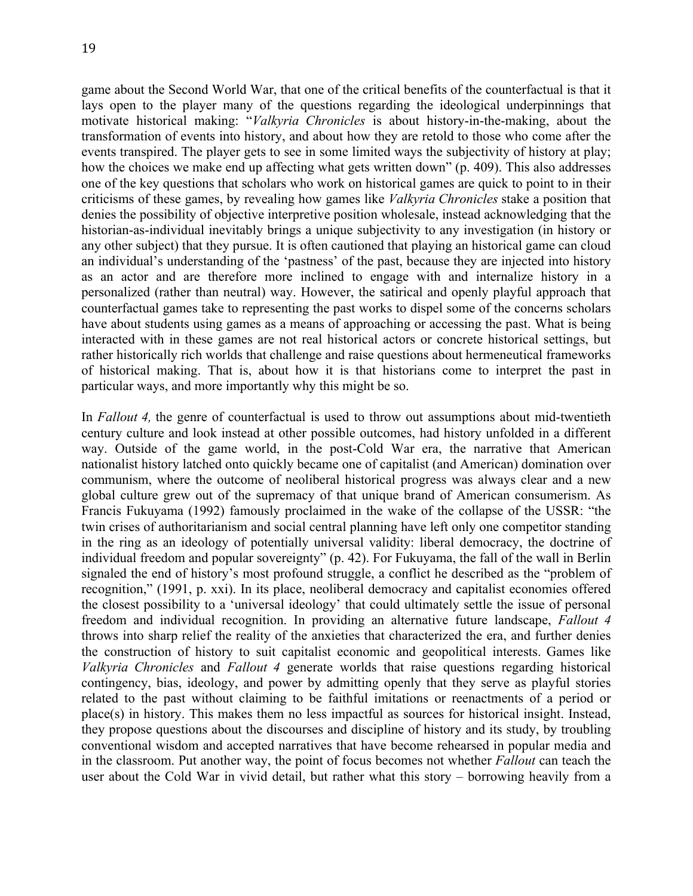game about the Second World War, that one of the critical benefits of the counterfactual is that it lays open to the player many of the questions regarding the ideological underpinnings that motivate historical making: "*Valkyria Chronicles* is about history-in-the-making, about the transformation of events into history, and about how they are retold to those who come after the events transpired. The player gets to see in some limited ways the subjectivity of history at play; how the choices we make end up affecting what gets written down" (p. 409). This also addresses one of the key questions that scholars who work on historical games are quick to point to in their criticisms of these games, by revealing how games like *Valkyria Chronicles* stake a position that denies the possibility of objective interpretive position wholesale, instead acknowledging that the historian-as-individual inevitably brings a unique subjectivity to any investigation (in history or any other subject) that they pursue. It is often cautioned that playing an historical game can cloud an individual's understanding of the 'pastness' of the past, because they are injected into history as an actor and are therefore more inclined to engage with and internalize history in a personalized (rather than neutral) way. However, the satirical and openly playful approach that counterfactual games take to representing the past works to dispel some of the concerns scholars have about students using games as a means of approaching or accessing the past. What is being interacted with in these games are not real historical actors or concrete historical settings, but rather historically rich worlds that challenge and raise questions about hermeneutical frameworks of historical making. That is, about how it is that historians come to interpret the past in particular ways, and more importantly why this might be so.

In *Fallout 4,* the genre of counterfactual is used to throw out assumptions about mid-twentieth century culture and look instead at other possible outcomes, had history unfolded in a different way. Outside of the game world, in the post-Cold War era, the narrative that American nationalist history latched onto quickly became one of capitalist (and American) domination over communism, where the outcome of neoliberal historical progress was always clear and a new global culture grew out of the supremacy of that unique brand of American consumerism. As Francis Fukuyama (1992) famously proclaimed in the wake of the collapse of the USSR: "the twin crises of authoritarianism and social central planning have left only one competitor standing in the ring as an ideology of potentially universal validity: liberal democracy, the doctrine of individual freedom and popular sovereignty" (p. 42). For Fukuyama, the fall of the wall in Berlin signaled the end of history's most profound struggle, a conflict he described as the "problem of recognition," (1991, p. xxi). In its place, neoliberal democracy and capitalist economies offered the closest possibility to a 'universal ideology' that could ultimately settle the issue of personal freedom and individual recognition. In providing an alternative future landscape, *Fallout 4* throws into sharp relief the reality of the anxieties that characterized the era, and further denies the construction of history to suit capitalist economic and geopolitical interests. Games like *Valkyria Chronicles* and *Fallout 4* generate worlds that raise questions regarding historical contingency, bias, ideology, and power by admitting openly that they serve as playful stories related to the past without claiming to be faithful imitations or reenactments of a period or place(s) in history. This makes them no less impactful as sources for historical insight. Instead, they propose questions about the discourses and discipline of history and its study, by troubling conventional wisdom and accepted narratives that have become rehearsed in popular media and in the classroom. Put another way, the point of focus becomes not whether *Fallout* can teach the user about the Cold War in vivid detail, but rather what this story – borrowing heavily from a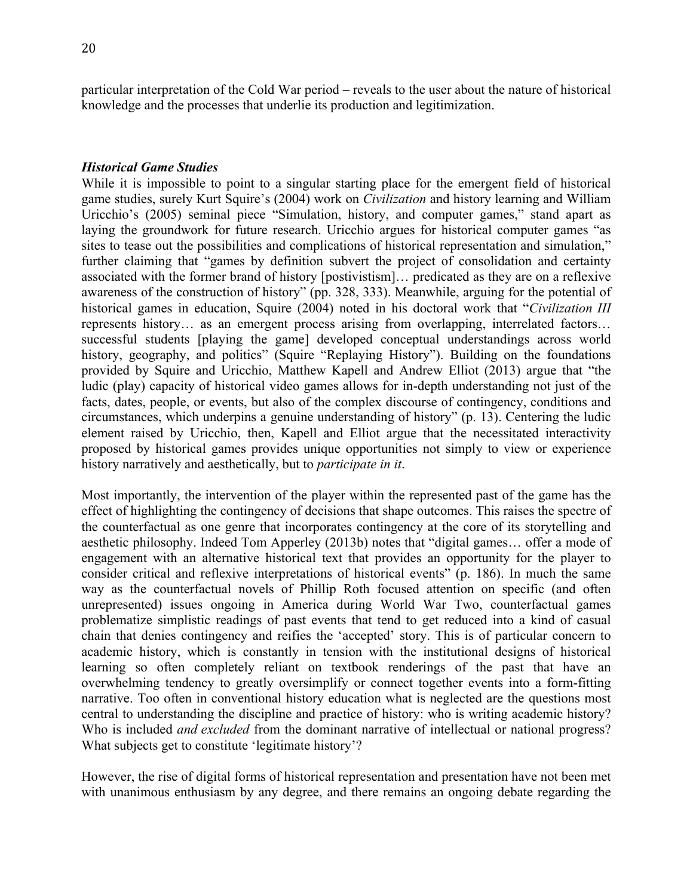particular interpretation of the Cold War period – reveals to the user about the nature of historical knowledge and the processes that underlie its production and legitimization.

#### *Historical Game Studies*

While it is impossible to point to a singular starting place for the emergent field of historical game studies, surely Kurt Squire's (2004) work on *Civilization* and history learning and William Uricchio's (2005) seminal piece "Simulation, history, and computer games," stand apart as laying the groundwork for future research. Uricchio argues for historical computer games "as sites to tease out the possibilities and complications of historical representation and simulation," further claiming that "games by definition subvert the project of consolidation and certainty associated with the former brand of history [postivistism]… predicated as they are on a reflexive awareness of the construction of history" (pp. 328, 333). Meanwhile, arguing for the potential of historical games in education, Squire (2004) noted in his doctoral work that "*Civilization III*  represents history… as an emergent process arising from overlapping, interrelated factors… successful students [playing the game] developed conceptual understandings across world history, geography, and politics" (Squire "Replaying History"). Building on the foundations provided by Squire and Uricchio, Matthew Kapell and Andrew Elliot (2013) argue that "the ludic (play) capacity of historical video games allows for in-depth understanding not just of the facts, dates, people, or events, but also of the complex discourse of contingency, conditions and circumstances, which underpins a genuine understanding of history" (p. 13). Centering the ludic element raised by Uricchio, then, Kapell and Elliot argue that the necessitated interactivity proposed by historical games provides unique opportunities not simply to view or experience history narratively and aesthetically, but to *participate in it*.

Most importantly, the intervention of the player within the represented past of the game has the effect of highlighting the contingency of decisions that shape outcomes. This raises the spectre of the counterfactual as one genre that incorporates contingency at the core of its storytelling and aesthetic philosophy. Indeed Tom Apperley (2013b) notes that "digital games… offer a mode of engagement with an alternative historical text that provides an opportunity for the player to consider critical and reflexive interpretations of historical events" (p. 186). In much the same way as the counterfactual novels of Phillip Roth focused attention on specific (and often unrepresented) issues ongoing in America during World War Two, counterfactual games problematize simplistic readings of past events that tend to get reduced into a kind of casual chain that denies contingency and reifies the 'accepted' story. This is of particular concern to academic history, which is constantly in tension with the institutional designs of historical learning so often completely reliant on textbook renderings of the past that have an overwhelming tendency to greatly oversimplify or connect together events into a form-fitting narrative. Too often in conventional history education what is neglected are the questions most central to understanding the discipline and practice of history: who is writing academic history? Who is included *and excluded* from the dominant narrative of intellectual or national progress? What subjects get to constitute 'legitimate history'?

However, the rise of digital forms of historical representation and presentation have not been met with unanimous enthusiasm by any degree, and there remains an ongoing debate regarding the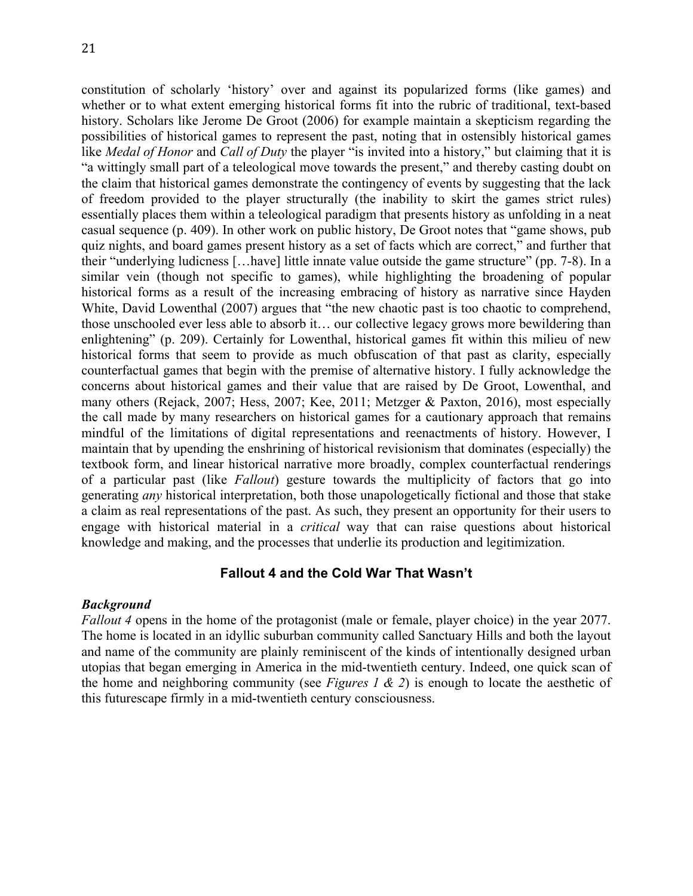constitution of scholarly 'history' over and against its popularized forms (like games) and whether or to what extent emerging historical forms fit into the rubric of traditional, text-based history. Scholars like Jerome De Groot (2006) for example maintain a skepticism regarding the possibilities of historical games to represent the past, noting that in ostensibly historical games like *Medal of Honor* and *Call of Duty* the player "is invited into a history," but claiming that it is "a wittingly small part of a teleological move towards the present," and thereby casting doubt on the claim that historical games demonstrate the contingency of events by suggesting that the lack of freedom provided to the player structurally (the inability to skirt the games strict rules) essentially places them within a teleological paradigm that presents history as unfolding in a neat casual sequence (p. 409). In other work on public history, De Groot notes that "game shows, pub quiz nights, and board games present history as a set of facts which are correct," and further that their "underlying ludicness […have] little innate value outside the game structure" (pp. 7-8). In a similar vein (though not specific to games), while highlighting the broadening of popular historical forms as a result of the increasing embracing of history as narrative since Hayden White, David Lowenthal (2007) argues that "the new chaotic past is too chaotic to comprehend, those unschooled ever less able to absorb it… our collective legacy grows more bewildering than enlightening" (p. 209). Certainly for Lowenthal, historical games fit within this milieu of new historical forms that seem to provide as much obfuscation of that past as clarity, especially counterfactual games that begin with the premise of alternative history. I fully acknowledge the concerns about historical games and their value that are raised by De Groot, Lowenthal, and many others (Rejack, 2007; Hess, 2007; Kee, 2011; Metzger & Paxton, 2016), most especially the call made by many researchers on historical games for a cautionary approach that remains mindful of the limitations of digital representations and reenactments of history. However, I maintain that by upending the enshrining of historical revisionism that dominates (especially) the textbook form, and linear historical narrative more broadly, complex counterfactual renderings of a particular past (like *Fallout*) gesture towards the multiplicity of factors that go into generating *any* historical interpretation, both those unapologetically fictional and those that stake a claim as real representations of the past. As such, they present an opportunity for their users to engage with historical material in a *critical* way that can raise questions about historical knowledge and making, and the processes that underlie its production and legitimization.

# **Fallout 4 and the Cold War That Wasn't**

# *Background*

*Fallout 4* opens in the home of the protagonist (male or female, player choice) in the year 2077. The home is located in an idyllic suburban community called Sanctuary Hills and both the layout and name of the community are plainly reminiscent of the kinds of intentionally designed urban utopias that began emerging in America in the mid-twentieth century. Indeed, one quick scan of the home and neighboring community (see *Figures 1 & 2*) is enough to locate the aesthetic of this futurescape firmly in a mid-twentieth century consciousness.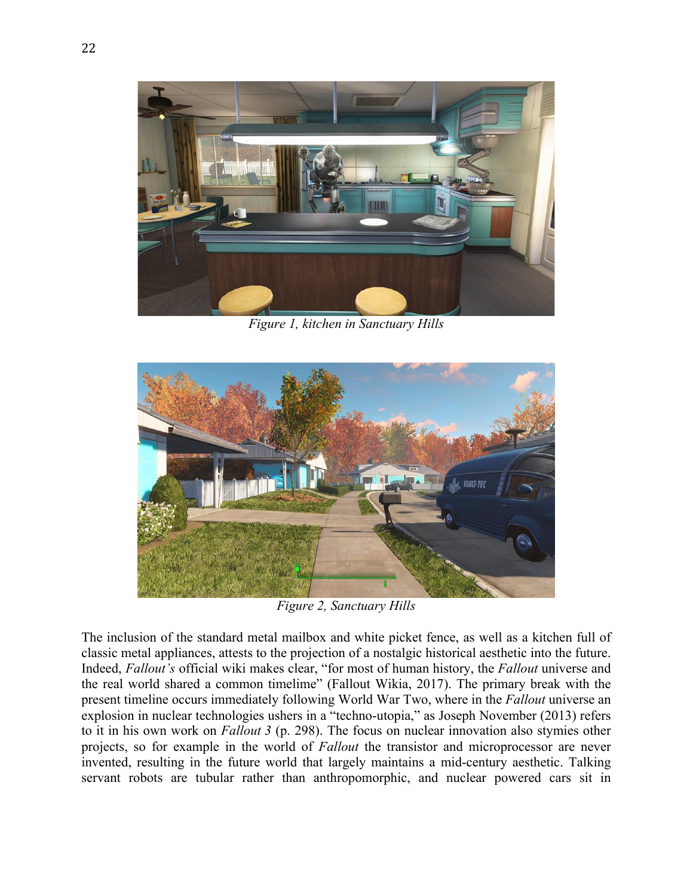

*Figure 1, kitchen in Sanctuary Hills*



*Figure 2, Sanctuary Hills*

The inclusion of the standard metal mailbox and white picket fence, as well as a kitchen full of classic metal appliances, attests to the projection of a nostalgic historical aesthetic into the future. Indeed, *Fallout's* official wiki makes clear, "for most of human history, the *Fallout* universe and the real world shared a common timelime" (Fallout Wikia, 2017). The primary break with the present timeline occurs immediately following World War Two, where in the *Fallout* universe an explosion in nuclear technologies ushers in a "techno-utopia," as Joseph November (2013) refers to it in his own work on *Fallout 3* (p. 298). The focus on nuclear innovation also stymies other projects, so for example in the world of *Fallout* the transistor and microprocessor are never invented, resulting in the future world that largely maintains a mid-century aesthetic. Talking servant robots are tubular rather than anthropomorphic, and nuclear powered cars sit in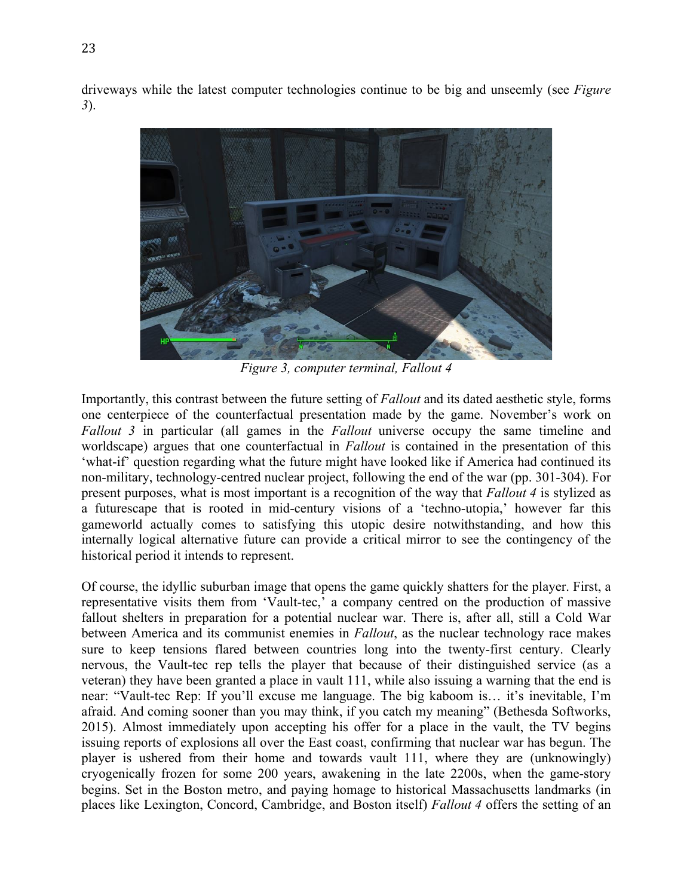driveways while the latest computer technologies continue to be big and unseemly (see *Figure 3*).



*Figure 3, computer terminal, Fallout 4*

Importantly, this contrast between the future setting of *Fallout* and its dated aesthetic style, forms one centerpiece of the counterfactual presentation made by the game. November's work on *Fallout 3* in particular (all games in the *Fallout* universe occupy the same timeline and worldscape) argues that one counterfactual in *Fallout* is contained in the presentation of this 'what-if' question regarding what the future might have looked like if America had continued its non-military, technology-centred nuclear project, following the end of the war (pp. 301-304). For present purposes, what is most important is a recognition of the way that *Fallout 4* is stylized as a futurescape that is rooted in mid-century visions of a 'techno-utopia,' however far this gameworld actually comes to satisfying this utopic desire notwithstanding, and how this internally logical alternative future can provide a critical mirror to see the contingency of the historical period it intends to represent.

Of course, the idyllic suburban image that opens the game quickly shatters for the player. First, a representative visits them from 'Vault-tec,' a company centred on the production of massive fallout shelters in preparation for a potential nuclear war. There is, after all, still a Cold War between America and its communist enemies in *Fallout*, as the nuclear technology race makes sure to keep tensions flared between countries long into the twenty-first century. Clearly nervous, the Vault-tec rep tells the player that because of their distinguished service (as a veteran) they have been granted a place in vault 111, while also issuing a warning that the end is near: "Vault-tec Rep: If you'll excuse me language. The big kaboom is… it's inevitable, I'm afraid. And coming sooner than you may think, if you catch my meaning" (Bethesda Softworks, 2015). Almost immediately upon accepting his offer for a place in the vault, the TV begins issuing reports of explosions all over the East coast, confirming that nuclear war has begun. The player is ushered from their home and towards vault 111, where they are (unknowingly) cryogenically frozen for some 200 years, awakening in the late 2200s, when the game-story begins. Set in the Boston metro, and paying homage to historical Massachusetts landmarks (in places like Lexington, Concord, Cambridge, and Boston itself) *Fallout 4* offers the setting of an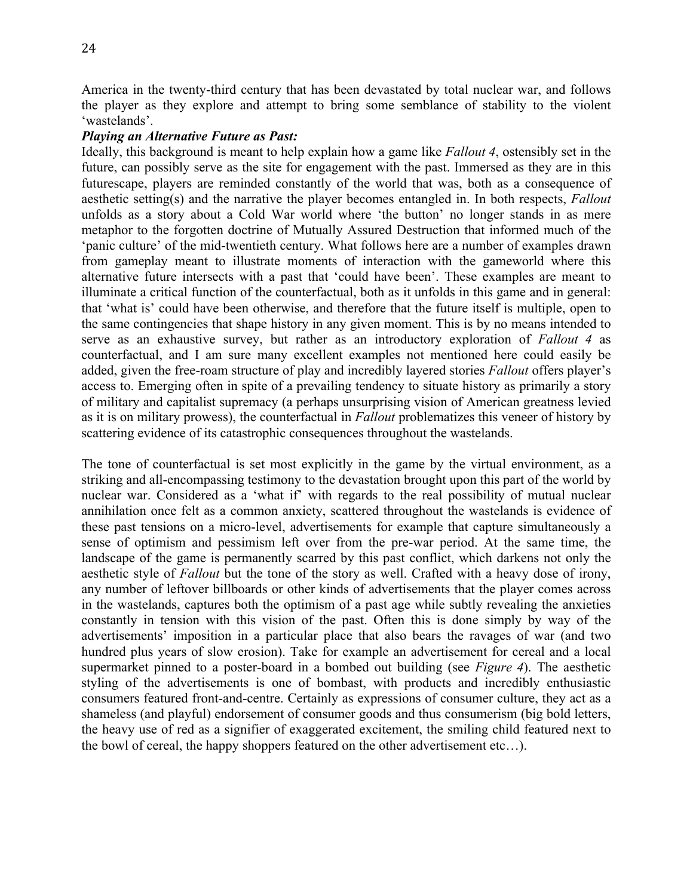America in the twenty-third century that has been devastated by total nuclear war, and follows the player as they explore and attempt to bring some semblance of stability to the violent 'wastelands'.

# *Playing an Alternative Future as Past:*

Ideally, this background is meant to help explain how a game like *Fallout 4*, ostensibly set in the future, can possibly serve as the site for engagement with the past. Immersed as they are in this futurescape, players are reminded constantly of the world that was, both as a consequence of aesthetic setting(s) and the narrative the player becomes entangled in. In both respects, *Fallout* unfolds as a story about a Cold War world where 'the button' no longer stands in as mere metaphor to the forgotten doctrine of Mutually Assured Destruction that informed much of the 'panic culture' of the mid-twentieth century. What follows here are a number of examples drawn from gameplay meant to illustrate moments of interaction with the gameworld where this alternative future intersects with a past that 'could have been'. These examples are meant to illuminate a critical function of the counterfactual, both as it unfolds in this game and in general: that 'what is' could have been otherwise, and therefore that the future itself is multiple, open to the same contingencies that shape history in any given moment. This is by no means intended to serve as an exhaustive survey, but rather as an introductory exploration of *Fallout 4* as counterfactual, and I am sure many excellent examples not mentioned here could easily be added, given the free-roam structure of play and incredibly layered stories *Fallout* offers player's access to. Emerging often in spite of a prevailing tendency to situate history as primarily a story of military and capitalist supremacy (a perhaps unsurprising vision of American greatness levied as it is on military prowess), the counterfactual in *Fallout* problematizes this veneer of history by scattering evidence of its catastrophic consequences throughout the wastelands.

The tone of counterfactual is set most explicitly in the game by the virtual environment, as a striking and all-encompassing testimony to the devastation brought upon this part of the world by nuclear war. Considered as a 'what if' with regards to the real possibility of mutual nuclear annihilation once felt as a common anxiety, scattered throughout the wastelands is evidence of these past tensions on a micro-level, advertisements for example that capture simultaneously a sense of optimism and pessimism left over from the pre-war period. At the same time, the landscape of the game is permanently scarred by this past conflict, which darkens not only the aesthetic style of *Fallout* but the tone of the story as well. Crafted with a heavy dose of irony, any number of leftover billboards or other kinds of advertisements that the player comes across in the wastelands, captures both the optimism of a past age while subtly revealing the anxieties constantly in tension with this vision of the past. Often this is done simply by way of the advertisements' imposition in a particular place that also bears the ravages of war (and two hundred plus years of slow erosion). Take for example an advertisement for cereal and a local supermarket pinned to a poster-board in a bombed out building (see *Figure 4*). The aesthetic styling of the advertisements is one of bombast, with products and incredibly enthusiastic consumers featured front-and-centre. Certainly as expressions of consumer culture, they act as a shameless (and playful) endorsement of consumer goods and thus consumerism (big bold letters, the heavy use of red as a signifier of exaggerated excitement, the smiling child featured next to the bowl of cereal, the happy shoppers featured on the other advertisement etc…).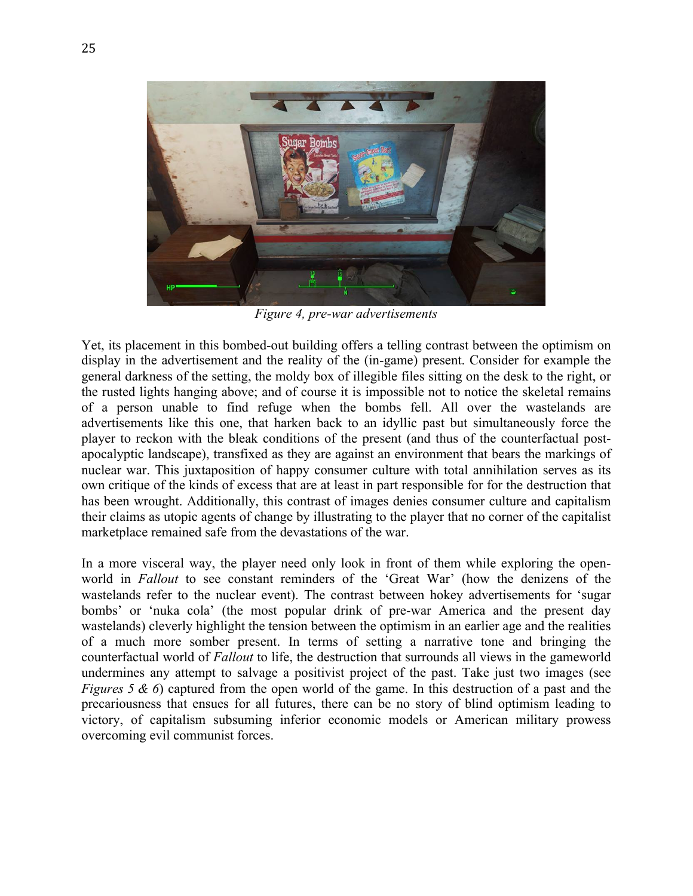

*Figure 4, pre-war advertisements*

Yet, its placement in this bombed-out building offers a telling contrast between the optimism on display in the advertisement and the reality of the (in-game) present. Consider for example the general darkness of the setting, the moldy box of illegible files sitting on the desk to the right, or the rusted lights hanging above; and of course it is impossible not to notice the skeletal remains of a person unable to find refuge when the bombs fell. All over the wastelands are advertisements like this one, that harken back to an idyllic past but simultaneously force the player to reckon with the bleak conditions of the present (and thus of the counterfactual postapocalyptic landscape), transfixed as they are against an environment that bears the markings of nuclear war. This juxtaposition of happy consumer culture with total annihilation serves as its own critique of the kinds of excess that are at least in part responsible for for the destruction that has been wrought. Additionally, this contrast of images denies consumer culture and capitalism their claims as utopic agents of change by illustrating to the player that no corner of the capitalist marketplace remained safe from the devastations of the war.

In a more visceral way, the player need only look in front of them while exploring the openworld in *Fallout* to see constant reminders of the 'Great War' (how the denizens of the wastelands refer to the nuclear event). The contrast between hokey advertisements for 'sugar bombs' or 'nuka cola' (the most popular drink of pre-war America and the present day wastelands) cleverly highlight the tension between the optimism in an earlier age and the realities of a much more somber present. In terms of setting a narrative tone and bringing the counterfactual world of *Fallout* to life, the destruction that surrounds all views in the gameworld undermines any attempt to salvage a positivist project of the past. Take just two images (see *Figures 5 & 6*) captured from the open world of the game. In this destruction of a past and the precariousness that ensues for all futures, there can be no story of blind optimism leading to victory, of capitalism subsuming inferior economic models or American military prowess overcoming evil communist forces.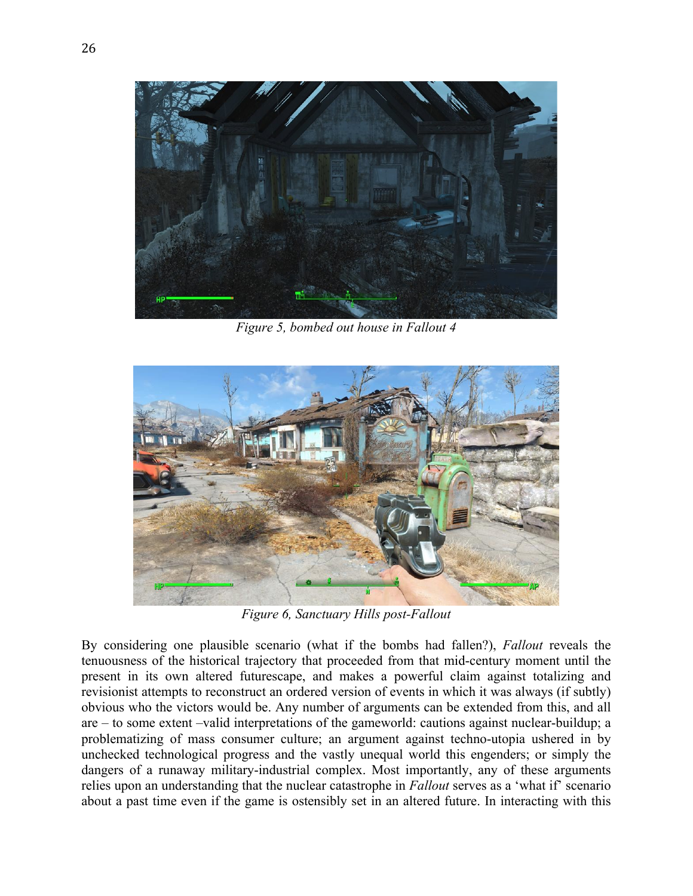

*Figure 5, bombed out house in Fallout 4*



*Figure 6, Sanctuary Hills post-Fallout*

By considering one plausible scenario (what if the bombs had fallen?), *Fallout* reveals the tenuousness of the historical trajectory that proceeded from that mid-century moment until the present in its own altered futurescape, and makes a powerful claim against totalizing and revisionist attempts to reconstruct an ordered version of events in which it was always (if subtly) obvious who the victors would be. Any number of arguments can be extended from this, and all are – to some extent –valid interpretations of the gameworld: cautions against nuclear-buildup; a problematizing of mass consumer culture; an argument against techno-utopia ushered in by unchecked technological progress and the vastly unequal world this engenders; or simply the dangers of a runaway military-industrial complex. Most importantly, any of these arguments relies upon an understanding that the nuclear catastrophe in *Fallout* serves as a 'what if' scenario about a past time even if the game is ostensibly set in an altered future. In interacting with this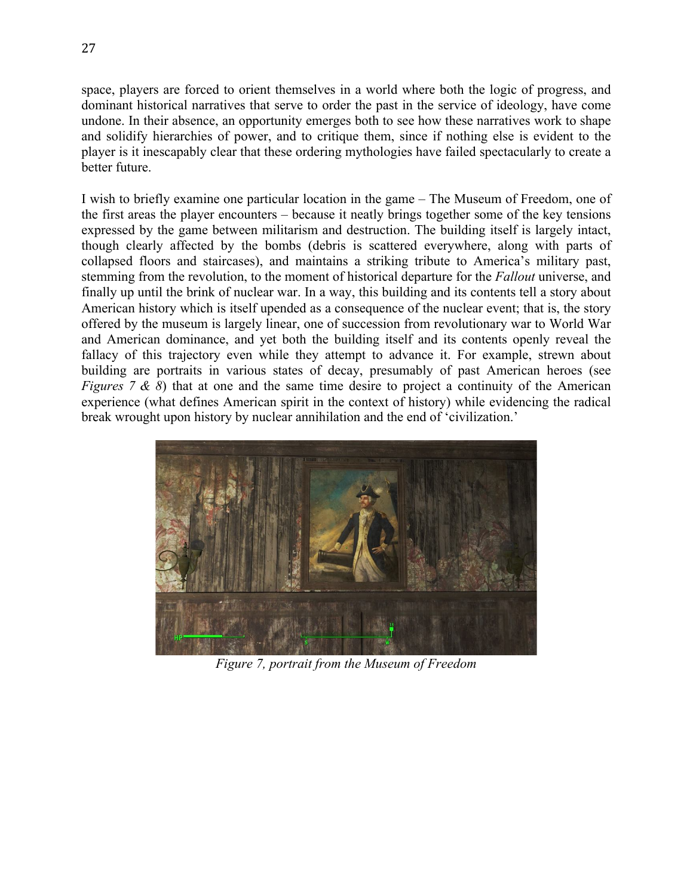space, players are forced to orient themselves in a world where both the logic of progress, and dominant historical narratives that serve to order the past in the service of ideology, have come undone. In their absence, an opportunity emerges both to see how these narratives work to shape and solidify hierarchies of power, and to critique them, since if nothing else is evident to the player is it inescapably clear that these ordering mythologies have failed spectacularly to create a better future.

I wish to briefly examine one particular location in the game – The Museum of Freedom, one of the first areas the player encounters – because it neatly brings together some of the key tensions expressed by the game between militarism and destruction. The building itself is largely intact, though clearly affected by the bombs (debris is scattered everywhere, along with parts of collapsed floors and staircases), and maintains a striking tribute to America's military past, stemming from the revolution, to the moment of historical departure for the *Fallout* universe, and finally up until the brink of nuclear war. In a way, this building and its contents tell a story about American history which is itself upended as a consequence of the nuclear event; that is, the story offered by the museum is largely linear, one of succession from revolutionary war to World War and American dominance, and yet both the building itself and its contents openly reveal the fallacy of this trajectory even while they attempt to advance it. For example, strewn about building are portraits in various states of decay, presumably of past American heroes (see *Figures* 7 & 8) that at one and the same time desire to project a continuity of the American experience (what defines American spirit in the context of history) while evidencing the radical break wrought upon history by nuclear annihilation and the end of 'civilization.'



*Figure 7, portrait from the Museum of Freedom*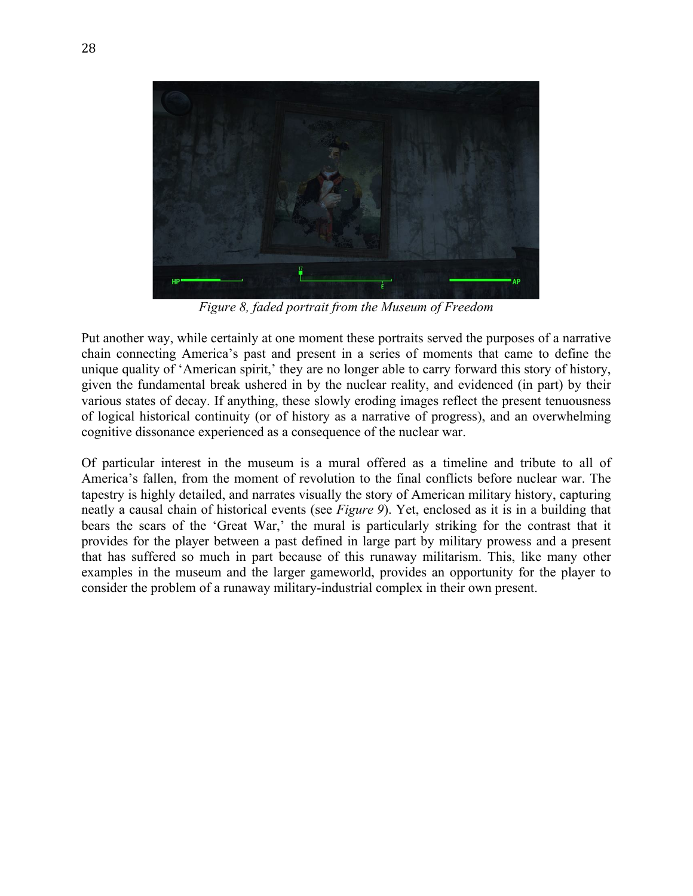

*Figure 8, faded portrait from the Museum of Freedom*

Put another way, while certainly at one moment these portraits served the purposes of a narrative chain connecting America's past and present in a series of moments that came to define the unique quality of 'American spirit,' they are no longer able to carry forward this story of history, given the fundamental break ushered in by the nuclear reality, and evidenced (in part) by their various states of decay. If anything, these slowly eroding images reflect the present tenuousness of logical historical continuity (or of history as a narrative of progress), and an overwhelming cognitive dissonance experienced as a consequence of the nuclear war.

Of particular interest in the museum is a mural offered as a timeline and tribute to all of America's fallen, from the moment of revolution to the final conflicts before nuclear war. The tapestry is highly detailed, and narrates visually the story of American military history, capturing neatly a causal chain of historical events (see *Figure 9*). Yet, enclosed as it is in a building that bears the scars of the 'Great War,' the mural is particularly striking for the contrast that it provides for the player between a past defined in large part by military prowess and a present that has suffered so much in part because of this runaway militarism. This, like many other examples in the museum and the larger gameworld, provides an opportunity for the player to consider the problem of a runaway military-industrial complex in their own present.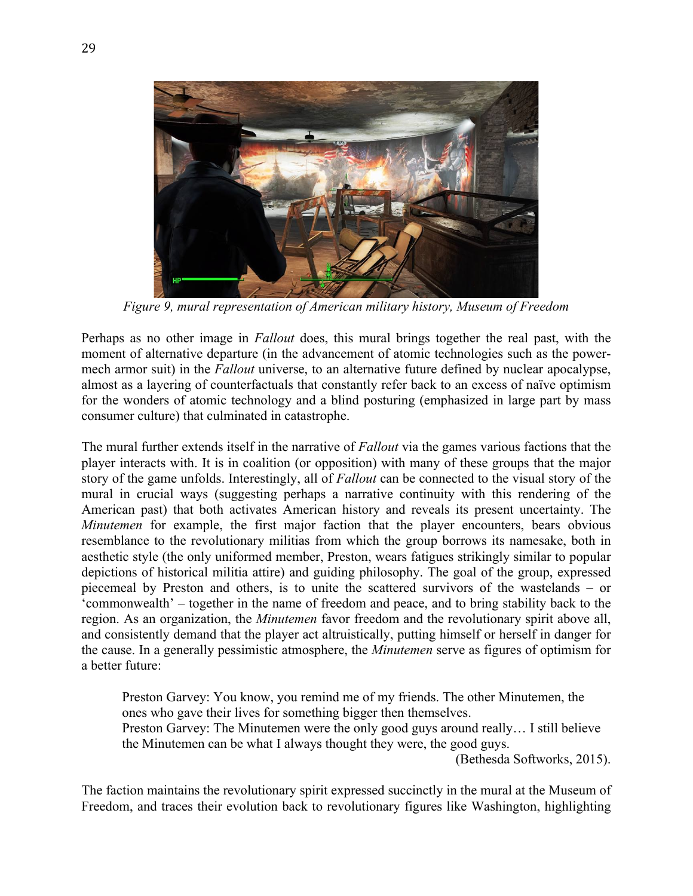

*Figure 9, mural representation of American military history, Museum of Freedom*

Perhaps as no other image in *Fallout* does, this mural brings together the real past, with the moment of alternative departure (in the advancement of atomic technologies such as the powermech armor suit) in the *Fallout* universe, to an alternative future defined by nuclear apocalypse, almost as a layering of counterfactuals that constantly refer back to an excess of naïve optimism for the wonders of atomic technology and a blind posturing (emphasized in large part by mass consumer culture) that culminated in catastrophe.

The mural further extends itself in the narrative of *Fallout* via the games various factions that the player interacts with. It is in coalition (or opposition) with many of these groups that the major story of the game unfolds. Interestingly, all of *Fallout* can be connected to the visual story of the mural in crucial ways (suggesting perhaps a narrative continuity with this rendering of the American past) that both activates American history and reveals its present uncertainty. The *Minutemen* for example, the first major faction that the player encounters, bears obvious resemblance to the revolutionary militias from which the group borrows its namesake, both in aesthetic style (the only uniformed member, Preston, wears fatigues strikingly similar to popular depictions of historical militia attire) and guiding philosophy. The goal of the group, expressed piecemeal by Preston and others, is to unite the scattered survivors of the wastelands – or 'commonwealth' – together in the name of freedom and peace, and to bring stability back to the region. As an organization, the *Minutemen* favor freedom and the revolutionary spirit above all, and consistently demand that the player act altruistically, putting himself or herself in danger for the cause. In a generally pessimistic atmosphere, the *Minutemen* serve as figures of optimism for a better future:

Preston Garvey: You know, you remind me of my friends. The other Minutemen, the ones who gave their lives for something bigger then themselves. Preston Garvey: The Minutemen were the only good guys around really… I still believe the Minutemen can be what I always thought they were, the good guys.

(Bethesda Softworks, 2015).

The faction maintains the revolutionary spirit expressed succinctly in the mural at the Museum of Freedom, and traces their evolution back to revolutionary figures like Washington, highlighting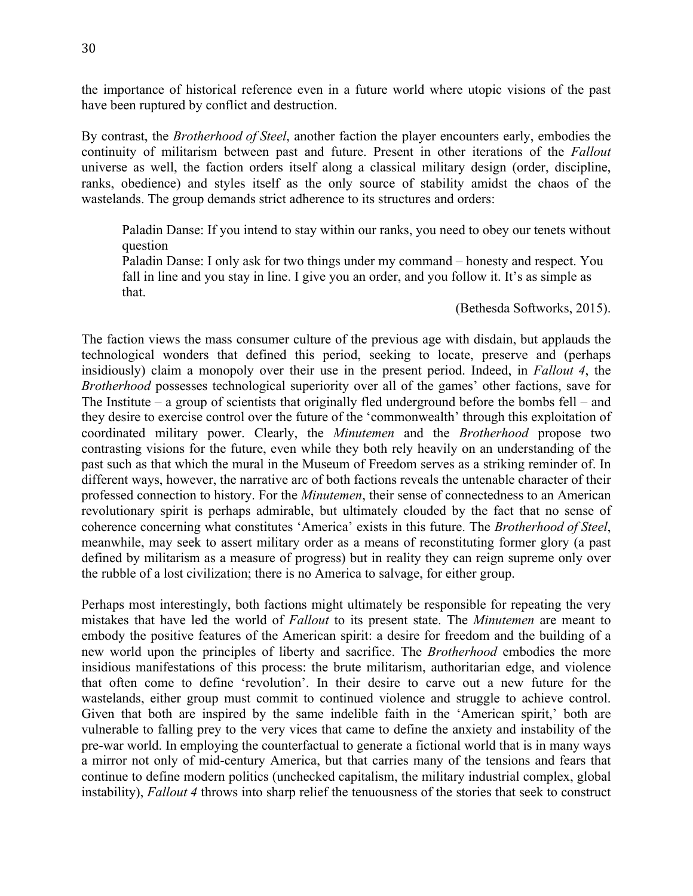the importance of historical reference even in a future world where utopic visions of the past have been ruptured by conflict and destruction.

By contrast, the *Brotherhood of Steel*, another faction the player encounters early, embodies the continuity of militarism between past and future. Present in other iterations of the *Fallout* universe as well, the faction orders itself along a classical military design (order, discipline, ranks, obedience) and styles itself as the only source of stability amidst the chaos of the wastelands. The group demands strict adherence to its structures and orders:

Paladin Danse: If you intend to stay within our ranks, you need to obey our tenets without question

Paladin Danse: I only ask for two things under my command – honesty and respect. You fall in line and you stay in line. I give you an order, and you follow it. It's as simple as that.

(Bethesda Softworks, 2015).

The faction views the mass consumer culture of the previous age with disdain, but applauds the technological wonders that defined this period, seeking to locate, preserve and (perhaps insidiously) claim a monopoly over their use in the present period. Indeed, in *Fallout 4*, the *Brotherhood* possesses technological superiority over all of the games' other factions, save for The Institute – a group of scientists that originally fled underground before the bombs fell – and they desire to exercise control over the future of the 'commonwealth' through this exploitation of coordinated military power. Clearly, the *Minutemen* and the *Brotherhood* propose two contrasting visions for the future, even while they both rely heavily on an understanding of the past such as that which the mural in the Museum of Freedom serves as a striking reminder of. In different ways, however, the narrative arc of both factions reveals the untenable character of their professed connection to history. For the *Minutemen*, their sense of connectedness to an American revolutionary spirit is perhaps admirable, but ultimately clouded by the fact that no sense of coherence concerning what constitutes 'America' exists in this future. The *Brotherhood of Steel*, meanwhile, may seek to assert military order as a means of reconstituting former glory (a past defined by militarism as a measure of progress) but in reality they can reign supreme only over the rubble of a lost civilization; there is no America to salvage, for either group.

Perhaps most interestingly, both factions might ultimately be responsible for repeating the very mistakes that have led the world of *Fallout* to its present state. The *Minutemen* are meant to embody the positive features of the American spirit: a desire for freedom and the building of a new world upon the principles of liberty and sacrifice. The *Brotherhood* embodies the more insidious manifestations of this process: the brute militarism, authoritarian edge, and violence that often come to define 'revolution'. In their desire to carve out a new future for the wastelands, either group must commit to continued violence and struggle to achieve control. Given that both are inspired by the same indelible faith in the 'American spirit,' both are vulnerable to falling prey to the very vices that came to define the anxiety and instability of the pre-war world. In employing the counterfactual to generate a fictional world that is in many ways a mirror not only of mid-century America, but that carries many of the tensions and fears that continue to define modern politics (unchecked capitalism, the military industrial complex, global instability), *Fallout 4* throws into sharp relief the tenuousness of the stories that seek to construct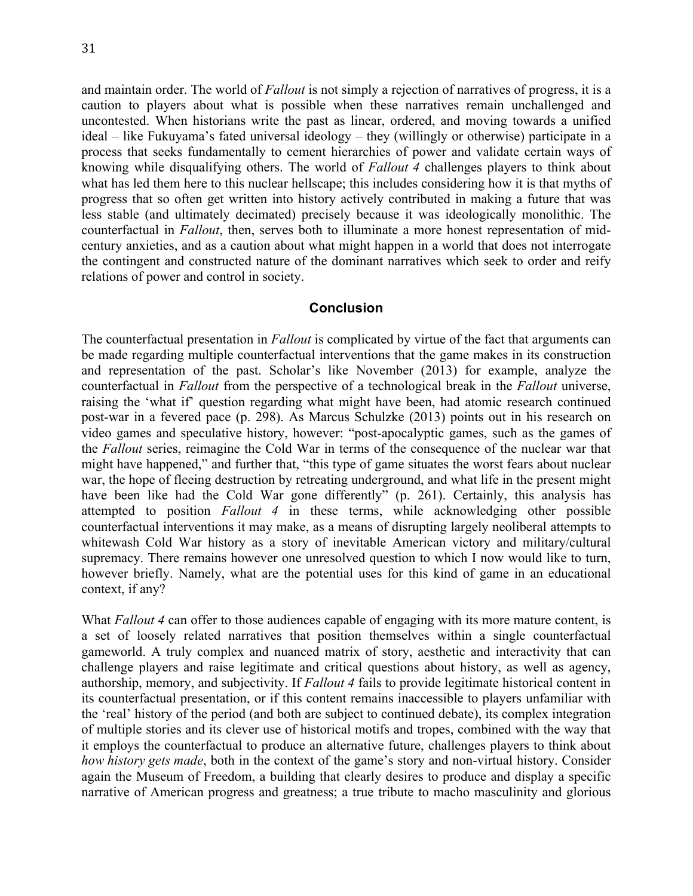and maintain order. The world of *Fallout* is not simply a rejection of narratives of progress, it is a caution to players about what is possible when these narratives remain unchallenged and uncontested. When historians write the past as linear, ordered, and moving towards a unified ideal – like Fukuyama's fated universal ideology – they (willingly or otherwise) participate in a process that seeks fundamentally to cement hierarchies of power and validate certain ways of knowing while disqualifying others. The world of *Fallout 4* challenges players to think about what has led them here to this nuclear hellscape; this includes considering how it is that myths of progress that so often get written into history actively contributed in making a future that was less stable (and ultimately decimated) precisely because it was ideologically monolithic. The counterfactual in *Fallout*, then, serves both to illuminate a more honest representation of midcentury anxieties, and as a caution about what might happen in a world that does not interrogate the contingent and constructed nature of the dominant narratives which seek to order and reify relations of power and control in society.

### **Conclusion**

The counterfactual presentation in *Fallout* is complicated by virtue of the fact that arguments can be made regarding multiple counterfactual interventions that the game makes in its construction and representation of the past. Scholar's like November (2013) for example, analyze the counterfactual in *Fallout* from the perspective of a technological break in the *Fallout* universe, raising the 'what if' question regarding what might have been, had atomic research continued post-war in a fevered pace (p. 298). As Marcus Schulzke (2013) points out in his research on video games and speculative history, however: "post-apocalyptic games, such as the games of the *Fallout* series, reimagine the Cold War in terms of the consequence of the nuclear war that might have happened," and further that, "this type of game situates the worst fears about nuclear war, the hope of fleeing destruction by retreating underground, and what life in the present might have been like had the Cold War gone differently" (p. 261). Certainly, this analysis has attempted to position *Fallout 4* in these terms, while acknowledging other possible counterfactual interventions it may make, as a means of disrupting largely neoliberal attempts to whitewash Cold War history as a story of inevitable American victory and military/cultural supremacy. There remains however one unresolved question to which I now would like to turn, however briefly. Namely, what are the potential uses for this kind of game in an educational context, if any?

What *Fallout* 4 can offer to those audiences capable of engaging with its more mature content, is a set of loosely related narratives that position themselves within a single counterfactual gameworld. A truly complex and nuanced matrix of story, aesthetic and interactivity that can challenge players and raise legitimate and critical questions about history, as well as agency, authorship, memory, and subjectivity. If *Fallout 4* fails to provide legitimate historical content in its counterfactual presentation, or if this content remains inaccessible to players unfamiliar with the 'real' history of the period (and both are subject to continued debate), its complex integration of multiple stories and its clever use of historical motifs and tropes, combined with the way that it employs the counterfactual to produce an alternative future, challenges players to think about *how history gets made*, both in the context of the game's story and non-virtual history. Consider again the Museum of Freedom, a building that clearly desires to produce and display a specific narrative of American progress and greatness; a true tribute to macho masculinity and glorious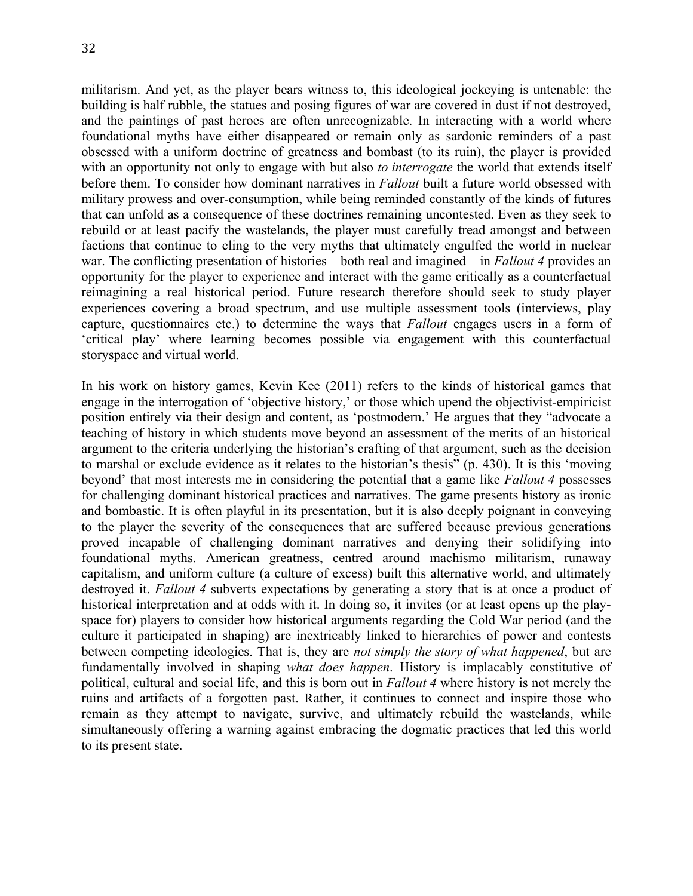militarism. And yet, as the player bears witness to, this ideological jockeying is untenable: the building is half rubble, the statues and posing figures of war are covered in dust if not destroyed, and the paintings of past heroes are often unrecognizable. In interacting with a world where foundational myths have either disappeared or remain only as sardonic reminders of a past obsessed with a uniform doctrine of greatness and bombast (to its ruin), the player is provided with an opportunity not only to engage with but also *to interrogate* the world that extends itself before them. To consider how dominant narratives in *Fallout* built a future world obsessed with military prowess and over-consumption, while being reminded constantly of the kinds of futures that can unfold as a consequence of these doctrines remaining uncontested. Even as they seek to rebuild or at least pacify the wastelands, the player must carefully tread amongst and between factions that continue to cling to the very myths that ultimately engulfed the world in nuclear war. The conflicting presentation of histories – both real and imagined – in *Fallout 4* provides an opportunity for the player to experience and interact with the game critically as a counterfactual reimagining a real historical period. Future research therefore should seek to study player experiences covering a broad spectrum, and use multiple assessment tools (interviews, play capture, questionnaires etc.) to determine the ways that *Fallout* engages users in a form of 'critical play' where learning becomes possible via engagement with this counterfactual storyspace and virtual world.

In his work on history games, Kevin Kee (2011) refers to the kinds of historical games that engage in the interrogation of 'objective history,' or those which upend the objectivist-empiricist position entirely via their design and content, as 'postmodern.' He argues that they "advocate a teaching of history in which students move beyond an assessment of the merits of an historical argument to the criteria underlying the historian's crafting of that argument, such as the decision to marshal or exclude evidence as it relates to the historian's thesis" (p. 430). It is this 'moving beyond' that most interests me in considering the potential that a game like *Fallout 4* possesses for challenging dominant historical practices and narratives. The game presents history as ironic and bombastic. It is often playful in its presentation, but it is also deeply poignant in conveying to the player the severity of the consequences that are suffered because previous generations proved incapable of challenging dominant narratives and denying their solidifying into foundational myths. American greatness, centred around machismo militarism, runaway capitalism, and uniform culture (a culture of excess) built this alternative world, and ultimately destroyed it. *Fallout 4* subverts expectations by generating a story that is at once a product of historical interpretation and at odds with it. In doing so, it invites (or at least opens up the playspace for) players to consider how historical arguments regarding the Cold War period (and the culture it participated in shaping) are inextricably linked to hierarchies of power and contests between competing ideologies. That is, they are *not simply the story of what happened*, but are fundamentally involved in shaping *what does happen*. History is implacably constitutive of political, cultural and social life, and this is born out in *Fallout 4* where history is not merely the ruins and artifacts of a forgotten past. Rather, it continues to connect and inspire those who remain as they attempt to navigate, survive, and ultimately rebuild the wastelands, while simultaneously offering a warning against embracing the dogmatic practices that led this world to its present state.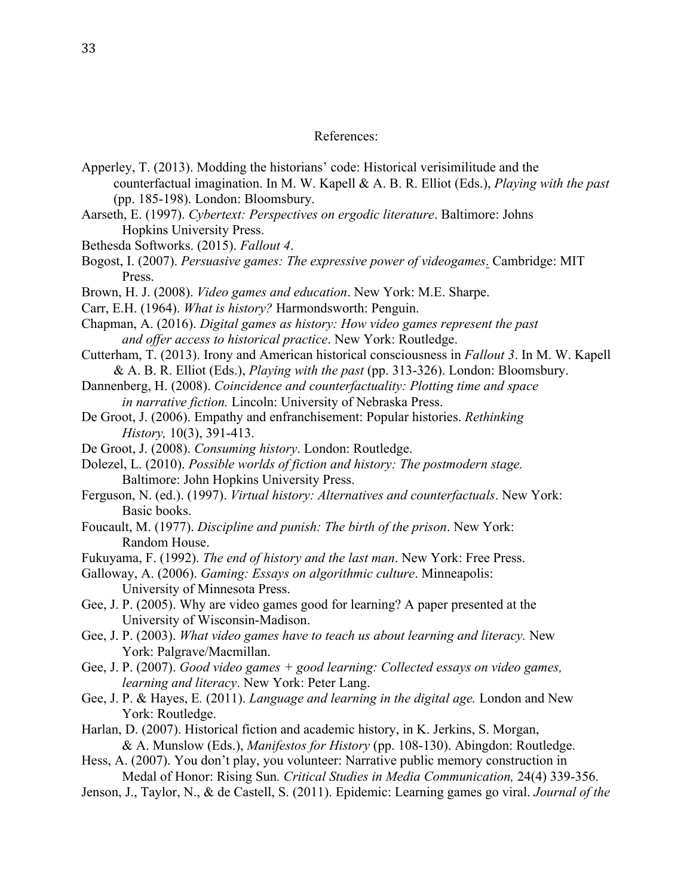#### References:

- Apperley, T. (2013). Modding the historians' code: Historical verisimilitude and the counterfactual imagination. In M. W. Kapell & A. B. R. Elliot (Eds.), *Playing with the past* (pp. 185-198). London: Bloomsbury.
- Aarseth, E. (1997). *Cybertext: Perspectives on ergodic literature*. Baltimore: Johns Hopkins University Press.
- Bethesda Softworks. (2015). *Fallout 4*.
- Bogost, I. (2007). *Persuasive games: The expressive power of videogames*. Cambridge: MIT Press.
- Brown, H. J. (2008). *Video games and education*. New York: M.E. Sharpe.
- Carr, E.H. (1964). *What is history?* Harmondsworth: Penguin.
- Chapman, A. (2016). *Digital games as history: How video games represent the past and offer access to historical practice*. New York: Routledge.
- Cutterham, T. (2013). Irony and American historical consciousness in *Fallout 3*. In M. W. Kapell & A. B. R. Elliot (Eds.), *Playing with the past* (pp. 313-326). London: Bloomsbury.
- Dannenberg, H. (2008). *Coincidence and counterfactuality: Plotting time and space in narrative fiction.* Lincoln: University of Nebraska Press.
- De Groot, J. (2006). Empathy and enfranchisement: Popular histories. *Rethinking History,* 10(3), 391-413.
- De Groot, J. (2008). *Consuming history*. London: Routledge.
- Dolezel, L. (2010). *Possible worlds of fiction and history: The postmodern stage.* Baltimore: John Hopkins University Press.
- Ferguson, N. (ed.). (1997). *Virtual history: Alternatives and counterfactuals*. New York: Basic books.
- Foucault, M. (1977). *Discipline and punish: The birth of the prison*. New York: Random House.
- Fukuyama, F. (1992). *The end of history and the last man*. New York: Free Press.
- Galloway, A. (2006). *Gaming: Essays on algorithmic culture*. Minneapolis: University of Minnesota Press.
- Gee, J. P. (2005). Why are video games good for learning? A paper presented at the University of Wisconsin-Madison.
- Gee, J. P. (2003). *What video games have to teach us about learning and literacy.* New York: Palgrave/Macmillan.
- Gee, J. P. (2007). *Good video games + good learning: Collected essays on video games, learning and literacy*. New York: Peter Lang.
- Gee, J. P. & Hayes, E*.* (2011). *Language and learning in the digital age.* London and New York: Routledge.
- Harlan, D. (2007). Historical fiction and academic history, in K. Jerkins, S. Morgan, & A. Munslow (Eds.), *Manifestos for History* (pp. 108-130). Abingdon: Routledge.
- Hess, A. (2007). You don't play, you volunteer: Narrative public memory construction in Medal of Honor: Rising Sun*. Critical Studies in Media Communication,* 24(4) 339-356.
- Jenson, J., Taylor, N., & de Castell, S. (2011). Epidemic: Learning games go viral. *Journal of the*